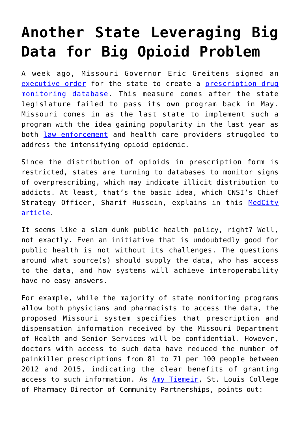## **[Another State Leveraging Big](https://www.cns-inc.com/insights/thought-leadership/another-state-leveraging-big-data-for-big-opioid-problem/) [Data for Big Opioid Problem](https://www.cns-inc.com/insights/thought-leadership/another-state-leveraging-big-data-for-big-opioid-problem/)**

A week ago, Missouri Governor Eric Greitens signed an [executive order](https://governor.mo.gov/news/archive/governor-eric-greitens-announces-statewide-prescription-drug-monitoring-program) for the state to create a [prescription drug](http://www.stltoday.com/news/local/govt-and-politics/greitens-launches-painkiller-database-after-missouri-lawmakers-don-t/article_4b6ff0d0-db7c-5b5f-a008-e6197fd254ac.html) [monitoring database](http://www.stltoday.com/news/local/govt-and-politics/greitens-launches-painkiller-database-after-missouri-lawmakers-don-t/article_4b6ff0d0-db7c-5b5f-a008-e6197fd254ac.html). This measure comes after the state legislature failed to pass its own program back in May. Missouri comes in as the last state to implement such a program with the idea gaining popularity in the last year as both [law enforcement](https://www.deadiversion.usdoj.gov/faq/rx_monitor.htm) and health care providers struggled to address the intensifying opioid epidemic.

Since the distribution of opioids in prescription form is restricted, states are turning to databases to monitor signs of overprescribing, which may indicate illicit distribution to addicts. At least, that's the basic idea, which CNSI's Chief Strategy Officer, Sharif Hussein, explains in this [MedCity](http://medcitynews.com/2017/02/predictive-analytics-can-tackle-opioid-crisis/?rf=1) [article](http://medcitynews.com/2017/02/predictive-analytics-can-tackle-opioid-crisis/?rf=1)*.*

It seems like a slam dunk public health policy, right? Well, not exactly. Even an initiative that is undoubtedly good for public health is not without its challenges. The questions around what source(s) should supply the data, who has access to the data, and how systems will achieve interoperability have no easy answers.

For example, while the majority of state monitoring programs allow both physicians and pharmacists to access the data, the proposed Missouri system specifies that prescription and dispensation information received by the Missouri Department of Health and Senior Services will be confidential. However, doctors with access to such data have reduced the number of painkiller prescriptions from 81 to 71 per 100 people between 2012 and 2015, indicating the clear benefits of granting access to such information. As [Amy Tiemeir,](https://stlcop.edu/directory/employee/amy-tiemeier) St. Louis College of Pharmacy Director of Community Partnerships, points out: